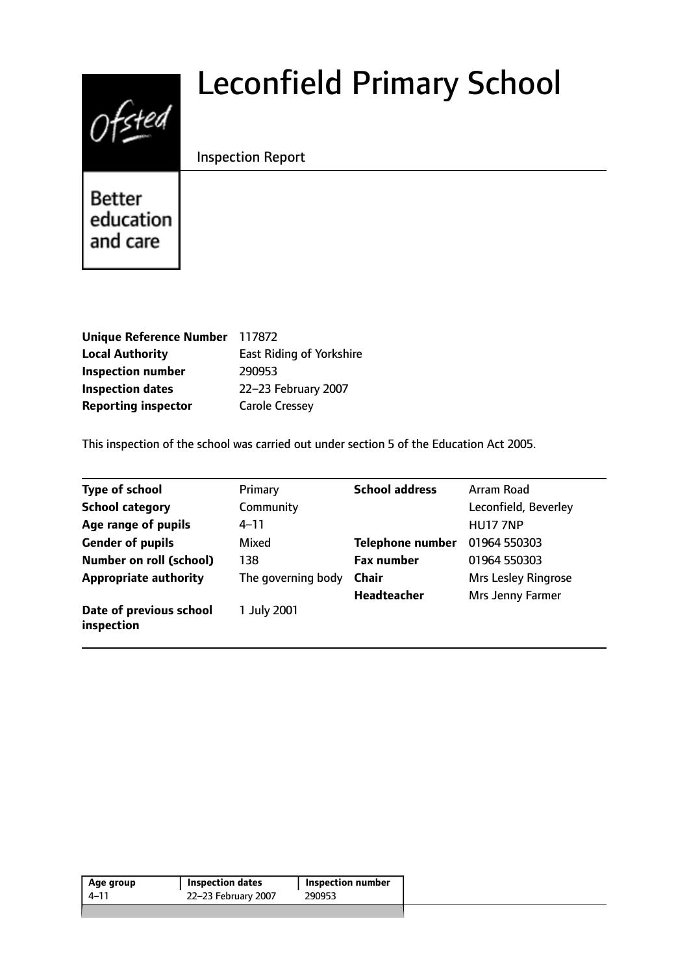# $0$ fsted

# Leconfield Primary School

# Inspection Report

**Better** education and care

| Unique Reference Number 117872 |                                 |
|--------------------------------|---------------------------------|
| <b>Local Authority</b>         | <b>East Riding of Yorkshire</b> |
| <b>Inspection number</b>       | 290953                          |
| <b>Inspection dates</b>        | 22-23 February 2007             |
| <b>Reporting inspector</b>     | <b>Carole Cressey</b>           |

This inspection of the school was carried out under section 5 of the Education Act 2005.

| <b>Type of school</b>                 | Primary            | <b>School address</b>   | Arram Road                 |
|---------------------------------------|--------------------|-------------------------|----------------------------|
| <b>School category</b>                | Community          |                         | Leconfield, Beverley       |
| Age range of pupils                   | 4–11               |                         | <b>HU17 7NP</b>            |
| <b>Gender of pupils</b>               | Mixed              | <b>Telephone number</b> | 01964 550303               |
| <b>Number on roll (school)</b>        | 138                | <b>Fax number</b>       | 01964 550303               |
| <b>Appropriate authority</b>          | The governing body | <b>Chair</b>            | <b>Mrs Lesley Ringrose</b> |
|                                       |                    | <b>Headteacher</b>      | Mrs Jenny Farmer           |
| Date of previous school<br>inspection | 1 July 2001        |                         |                            |

| 22–23 February 2007<br>290953<br>4–11 | Age group | <b>Inspection dates</b> | Inspection number |  |
|---------------------------------------|-----------|-------------------------|-------------------|--|
|                                       |           |                         |                   |  |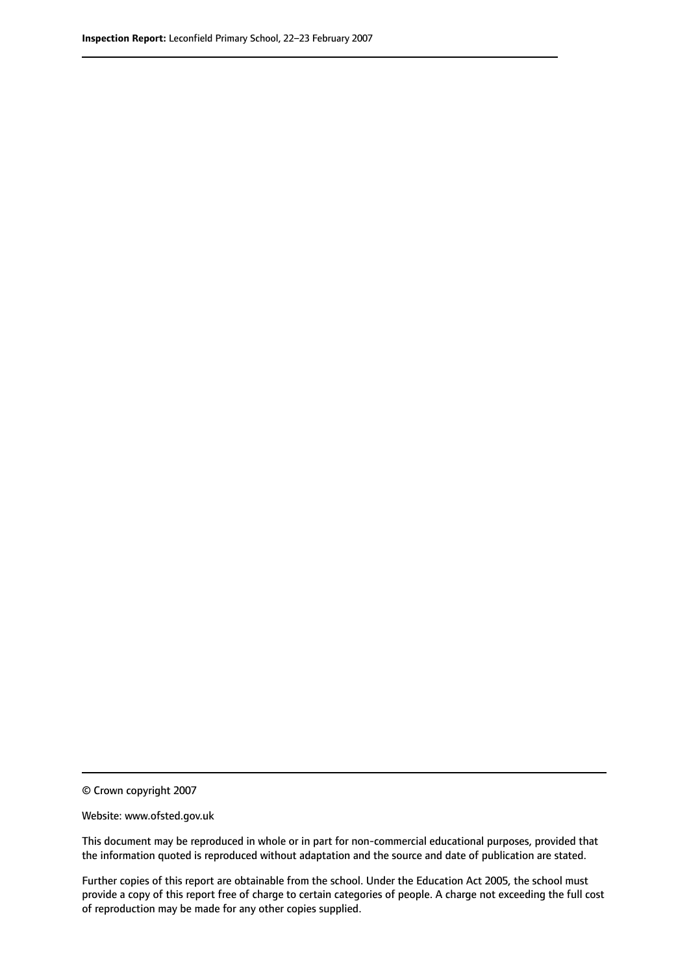© Crown copyright 2007

Website: www.ofsted.gov.uk

This document may be reproduced in whole or in part for non-commercial educational purposes, provided that the information quoted is reproduced without adaptation and the source and date of publication are stated.

Further copies of this report are obtainable from the school. Under the Education Act 2005, the school must provide a copy of this report free of charge to certain categories of people. A charge not exceeding the full cost of reproduction may be made for any other copies supplied.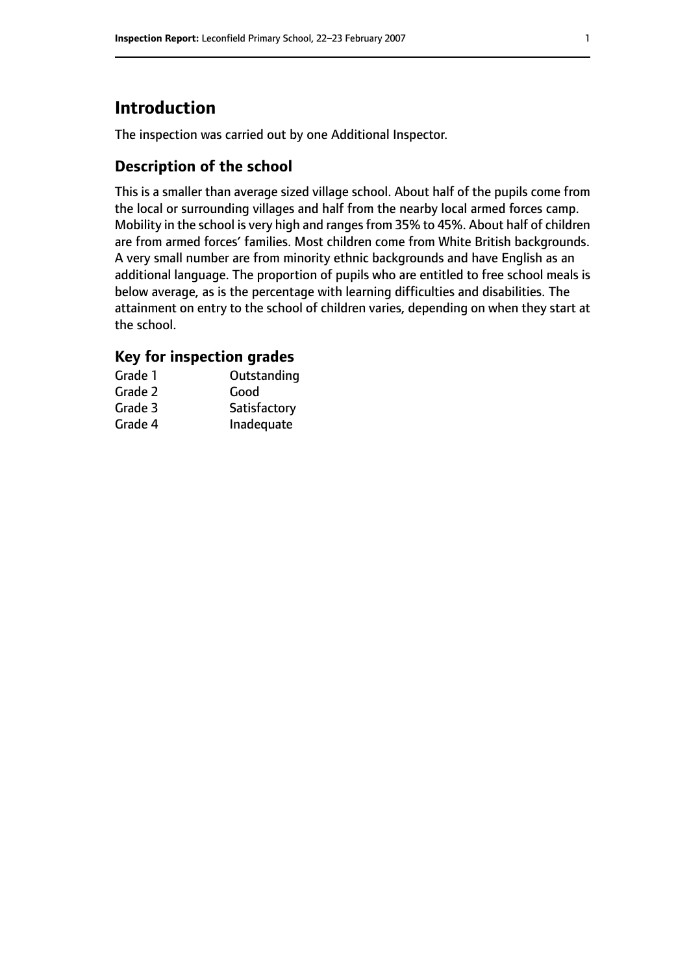# **Introduction**

The inspection was carried out by one Additional Inspector.

# **Description of the school**

This is a smaller than average sized village school. About half of the pupils come from the local or surrounding villages and half from the nearby local armed forces camp. Mobility in the school is very high and ranges from 35% to 45%. About half of children are from armed forces' families. Most children come from White British backgrounds. A very small number are from minority ethnic backgrounds and have English as an additional language. The proportion of pupils who are entitled to free school meals is below average, as is the percentage with learning difficulties and disabilities. The attainment on entry to the school of children varies, depending on when they start at the school.

# **Key for inspection grades**

| Grade 1 | Outstanding  |
|---------|--------------|
| Grade 2 | Good         |
| Grade 3 | Satisfactory |
| Grade 4 | Inadequate   |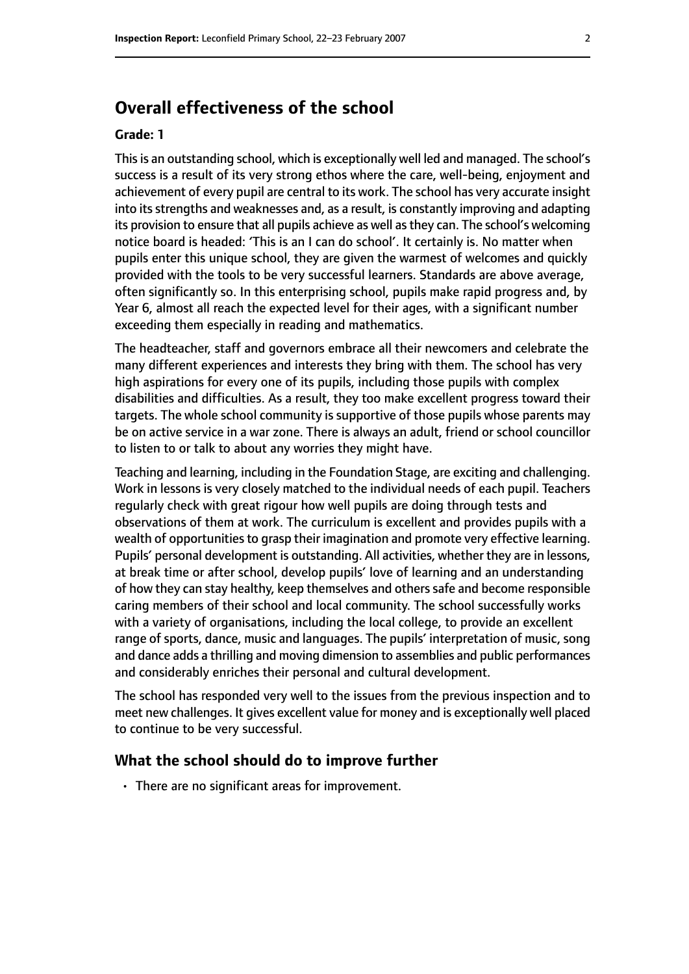# **Overall effectiveness of the school**

#### **Grade: 1**

Thisis an outstanding school, which is exceptionally well led and managed. The school's success is a result of its very strong ethos where the care, well-being, enjoyment and achievement of every pupil are central to its work. The school has very accurate insight into its strengths and weaknesses and, as a result, is constantly improving and adapting its provision to ensure that all pupils achieve as well as they can. The school's welcoming notice board is headed: 'This is an I can do school'. It certainly is. No matter when pupils enter this unique school, they are given the warmest of welcomes and quickly provided with the tools to be very successful learners. Standards are above average, often significantly so. In this enterprising school, pupils make rapid progress and, by Year 6, almost all reach the expected level for their ages, with a significant number exceeding them especially in reading and mathematics.

The headteacher, staff and governors embrace all their newcomers and celebrate the many different experiences and interests they bring with them. The school has very high aspirations for every one of its pupils, including those pupils with complex disabilities and difficulties. As a result, they too make excellent progress toward their targets. The whole school community is supportive of those pupils whose parents may be on active service in a war zone. There is always an adult, friend or school councillor to listen to or talk to about any worries they might have.

Teaching and learning, including in the Foundation Stage, are exciting and challenging. Work in lessons is very closely matched to the individual needs of each pupil. Teachers regularly check with great rigour how well pupils are doing through tests and observations of them at work. The curriculum is excellent and provides pupils with a wealth of opportunities to grasp their imagination and promote very effective learning. Pupils' personal development is outstanding. All activities, whether they are in lessons, at break time or after school, develop pupils' love of learning and an understanding of how they can stay healthy, keep themselves and others safe and become responsible caring members of their school and local community. The school successfully works with a variety of organisations, including the local college, to provide an excellent range of sports, dance, music and languages. The pupils' interpretation of music, song and dance adds a thrilling and moving dimension to assemblies and public performances and considerably enriches their personal and cultural development.

The school has responded very well to the issues from the previous inspection and to meet new challenges. It gives excellent value for money and is exceptionally well placed to continue to be very successful.

#### **What the school should do to improve further**

• There are no significant areas for improvement.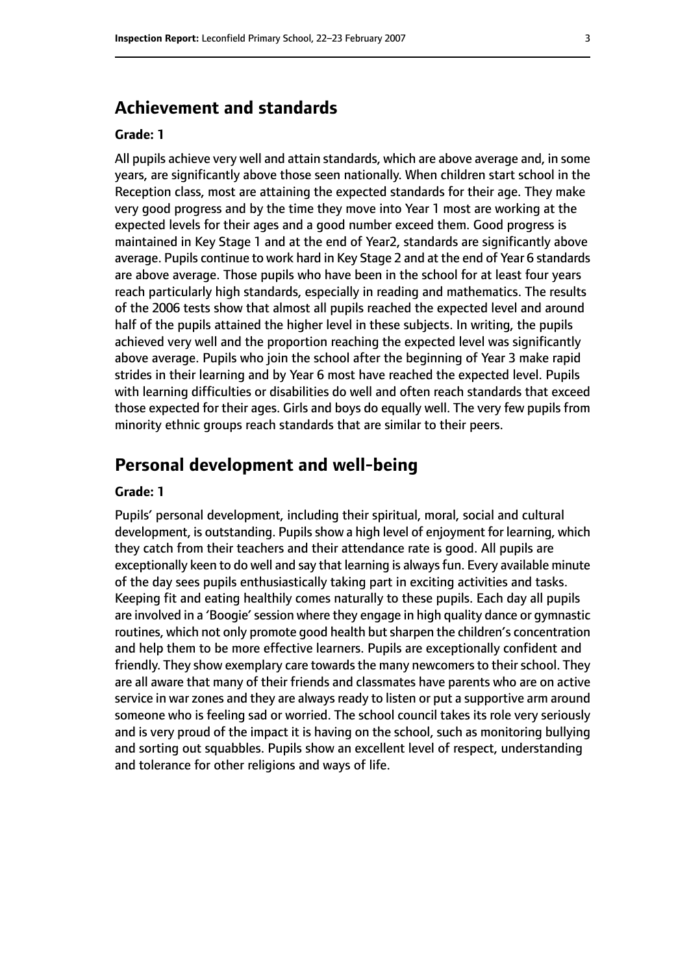# **Achievement and standards**

#### **Grade: 1**

All pupils achieve very well and attain standards, which are above average and, in some years, are significantly above those seen nationally. When children start school in the Reception class, most are attaining the expected standards for their age. They make very good progress and by the time they move into Year 1 most are working at the expected levels for their ages and a good number exceed them. Good progress is maintained in Key Stage 1 and at the end of Year2, standards are significantly above average. Pupils continue to work hard in Key Stage 2 and at the end of Year 6 standards are above average. Those pupils who have been in the school for at least four years reach particularly high standards, especially in reading and mathematics. The results of the 2006 tests show that almost all pupils reached the expected level and around half of the pupils attained the higher level in these subjects. In writing, the pupils achieved very well and the proportion reaching the expected level was significantly above average. Pupils who join the school after the beginning of Year 3 make rapid strides in their learning and by Year 6 most have reached the expected level. Pupils with learning difficulties or disabilities do well and often reach standards that exceed those expected for their ages. Girls and boys do equally well. The very few pupils from minority ethnic groups reach standards that are similar to their peers.

# **Personal development and well-being**

#### **Grade: 1**

Pupils' personal development, including their spiritual, moral, social and cultural development, is outstanding. Pupils show a high level of enjoyment for learning, which they catch from their teachers and their attendance rate is good. All pupils are exceptionally keen to do well and say that learning is always fun. Every available minute of the day sees pupils enthusiastically taking part in exciting activities and tasks. Keeping fit and eating healthily comes naturally to these pupils. Each day all pupils are involved in a 'Boogie' session where they engage in high quality dance or gymnastic routines, which not only promote good health but sharpen the children's concentration and help them to be more effective learners. Pupils are exceptionally confident and friendly. They show exemplary care towards the many newcomers to their school. They are all aware that many of their friends and classmates have parents who are on active service in war zones and they are always ready to listen or put a supportive arm around someone who is feeling sad or worried. The school council takes its role very seriously and is very proud of the impact it is having on the school, such as monitoring bullying and sorting out squabbles. Pupils show an excellent level of respect, understanding and tolerance for other religions and ways of life.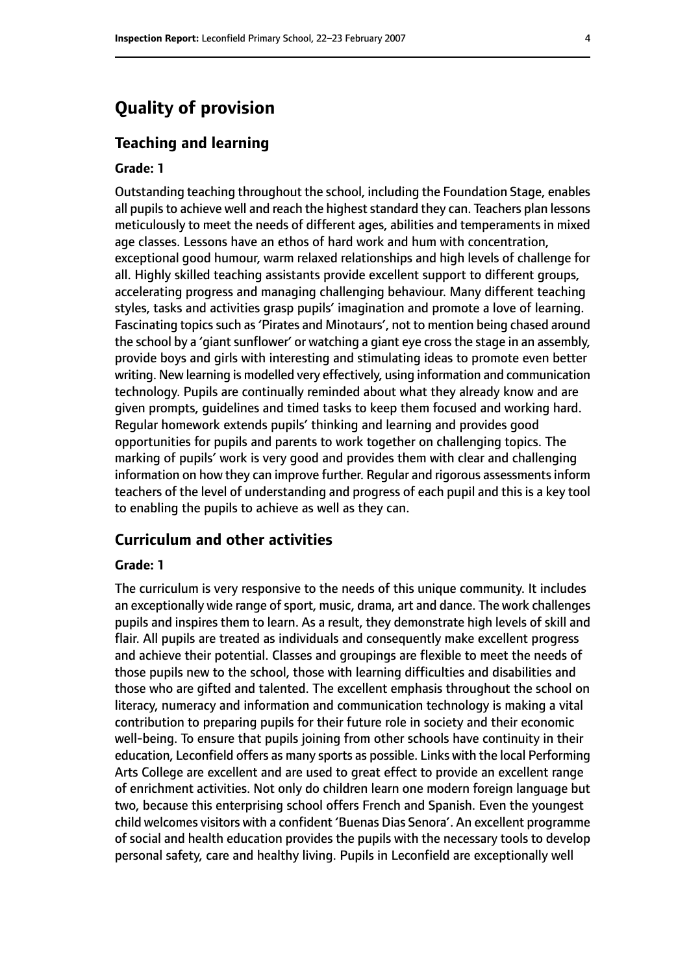# **Quality of provision**

#### **Teaching and learning**

#### **Grade: 1**

Outstanding teaching throughout the school, including the Foundation Stage, enables all pupils to achieve well and reach the highest standard they can. Teachers plan lessons meticulously to meet the needs of different ages, abilities and temperaments in mixed age classes. Lessons have an ethos of hard work and hum with concentration, exceptional good humour, warm relaxed relationships and high levels of challenge for all. Highly skilled teaching assistants provide excellent support to different groups, accelerating progress and managing challenging behaviour. Many different teaching styles, tasks and activities grasp pupils' imagination and promote a love of learning. Fascinating topics such as 'Pirates and Minotaurs', not to mention being chased around the school by a 'giant sunflower' or watching a giant eye cross the stage in an assembly, provide boys and girls with interesting and stimulating ideas to promote even better writing. New learning is modelled very effectively, using information and communication technology. Pupils are continually reminded about what they already know and are given prompts, guidelines and timed tasks to keep them focused and working hard. Regular homework extends pupils' thinking and learning and provides good opportunities for pupils and parents to work together on challenging topics. The marking of pupils' work is very good and provides them with clear and challenging information on how they can improve further. Regular and rigorous assessments inform teachers of the level of understanding and progress of each pupil and this is a key tool to enabling the pupils to achieve as well as they can.

#### **Curriculum and other activities**

#### **Grade: 1**

The curriculum is very responsive to the needs of this unique community. It includes an exceptionally wide range of sport, music, drama, art and dance. The work challenges pupils and inspires them to learn. As a result, they demonstrate high levels of skill and flair. All pupils are treated as individuals and consequently make excellent progress and achieve their potential. Classes and groupings are flexible to meet the needs of those pupils new to the school, those with learning difficulties and disabilities and those who are gifted and talented. The excellent emphasis throughout the school on literacy, numeracy and information and communication technology is making a vital contribution to preparing pupils for their future role in society and their economic well-being. To ensure that pupils joining from other schools have continuity in their education, Leconfield offers as many sports as possible. Links with the local Performing Arts College are excellent and are used to great effect to provide an excellent range of enrichment activities. Not only do children learn one modern foreign language but two, because this enterprising school offers French and Spanish. Even the youngest child welcomes visitors with a confident 'Buenas Dias Senora'. An excellent programme of social and health education provides the pupils with the necessary tools to develop personal safety, care and healthy living. Pupils in Leconfield are exceptionally well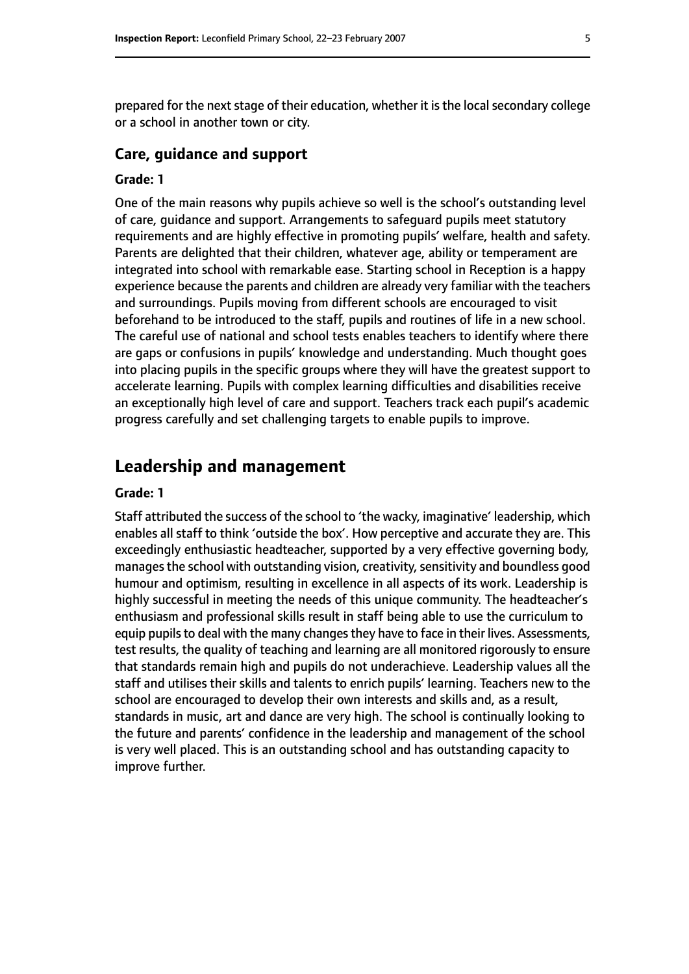prepared for the next stage of their education, whether it is the local secondary college or a school in another town or city.

#### **Care, guidance and support**

#### **Grade: 1**

One of the main reasons why pupils achieve so well is the school's outstanding level of care, guidance and support. Arrangements to safeguard pupils meet statutory requirements and are highly effective in promoting pupils' welfare, health and safety. Parents are delighted that their children, whatever age, ability or temperament are integrated into school with remarkable ease. Starting school in Reception is a happy experience because the parents and children are already very familiar with the teachers and surroundings. Pupils moving from different schools are encouraged to visit beforehand to be introduced to the staff, pupils and routines of life in a new school. The careful use of national and school tests enables teachers to identify where there are gaps or confusions in pupils' knowledge and understanding. Much thought goes into placing pupils in the specific groups where they will have the greatest support to accelerate learning. Pupils with complex learning difficulties and disabilities receive an exceptionally high level of care and support. Teachers track each pupil's academic progress carefully and set challenging targets to enable pupils to improve.

### **Leadership and management**

#### **Grade: 1**

Staff attributed the success of the school to 'the wacky, imaginative' leadership, which enables all staff to think 'outside the box'. How perceptive and accurate they are. This exceedingly enthusiastic headteacher, supported by a very effective governing body, manages the school with outstanding vision, creativity, sensitivity and boundless good humour and optimism, resulting in excellence in all aspects of its work. Leadership is highly successful in meeting the needs of this unique community. The headteacher's enthusiasm and professional skills result in staff being able to use the curriculum to equip pupils to deal with the many changes they have to face in their lives. Assessments, test results, the quality of teaching and learning are all monitored rigorously to ensure that standards remain high and pupils do not underachieve. Leadership values all the staff and utilises their skills and talents to enrich pupils' learning. Teachers new to the school are encouraged to develop their own interests and skills and, as a result, standards in music, art and dance are very high. The school is continually looking to the future and parents' confidence in the leadership and management of the school is very well placed. This is an outstanding school and has outstanding capacity to improve further.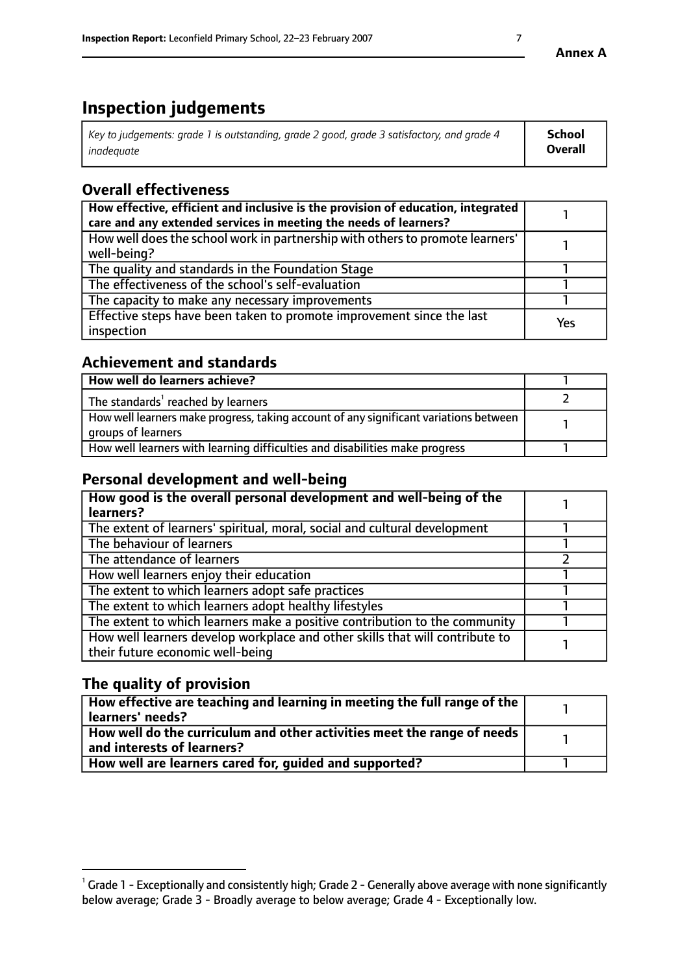# **Inspection judgements**

| Key to judgements: grade 1 is outstanding, grade 2 good, grade 3 satisfactory, and grade 4 | <b>School</b>  |
|--------------------------------------------------------------------------------------------|----------------|
| inadeauate                                                                                 | <b>Overall</b> |

# **Overall effectiveness**

| How effective, efficient and inclusive is the provision of education, integrated<br>care and any extended services in meeting the needs of learners? |     |
|------------------------------------------------------------------------------------------------------------------------------------------------------|-----|
| How well does the school work in partnership with others to promote learners'<br>well-being?                                                         |     |
| The quality and standards in the Foundation Stage                                                                                                    |     |
| The effectiveness of the school's self-evaluation                                                                                                    |     |
| The capacity to make any necessary improvements                                                                                                      |     |
| Effective steps have been taken to promote improvement since the last<br>inspection                                                                  | Yes |

# **Achievement and standards**

| How well do learners achieve?                                                                               |  |
|-------------------------------------------------------------------------------------------------------------|--|
| The standards <sup>1</sup> reached by learners                                                              |  |
| How well learners make progress, taking account of any significant variations between<br>groups of learners |  |
| How well learners with learning difficulties and disabilities make progress                                 |  |

# **Personal development and well-being**

| How good is the overall personal development and well-being of the<br>learners?                                  |  |
|------------------------------------------------------------------------------------------------------------------|--|
| The extent of learners' spiritual, moral, social and cultural development                                        |  |
| The behaviour of learners                                                                                        |  |
| The attendance of learners                                                                                       |  |
| How well learners enjoy their education                                                                          |  |
| The extent to which learners adopt safe practices                                                                |  |
| The extent to which learners adopt healthy lifestyles                                                            |  |
| The extent to which learners make a positive contribution to the community                                       |  |
| How well learners develop workplace and other skills that will contribute to<br>their future economic well-being |  |

# **The quality of provision**

| How effective are teaching and learning in meeting the full range of the<br>  learners' needs?                      |  |
|---------------------------------------------------------------------------------------------------------------------|--|
| $\mid$ How well do the curriculum and other activities meet the range of needs<br>$\mid$ and interests of learners? |  |
| How well are learners cared for, guided and supported?                                                              |  |

 $^1$  Grade 1 - Exceptionally and consistently high; Grade 2 - Generally above average with none significantly below average; Grade 3 - Broadly average to below average; Grade 4 - Exceptionally low.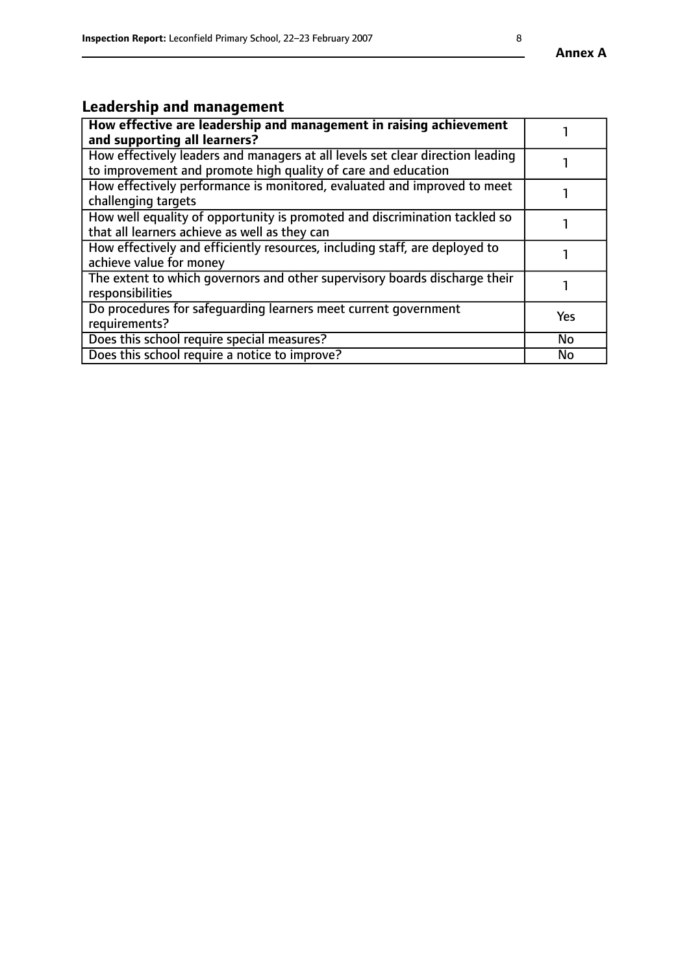#### **Annex A**

# **Leadership and management**

| How effective are leadership and management in raising achievement<br>and supporting all learners?                                              |           |
|-------------------------------------------------------------------------------------------------------------------------------------------------|-----------|
| How effectively leaders and managers at all levels set clear direction leading<br>to improvement and promote high quality of care and education |           |
| How effectively performance is monitored, evaluated and improved to meet<br>challenging targets                                                 |           |
| How well equality of opportunity is promoted and discrimination tackled so<br>that all learners achieve as well as they can                     |           |
| How effectively and efficiently resources, including staff, are deployed to<br>achieve value for money                                          |           |
| The extent to which governors and other supervisory boards discharge their<br>responsibilities                                                  |           |
| Do procedures for safequarding learners meet current government<br>requirements?                                                                | Yes       |
| Does this school require special measures?                                                                                                      | <b>No</b> |
| Does this school require a notice to improve?                                                                                                   | No        |